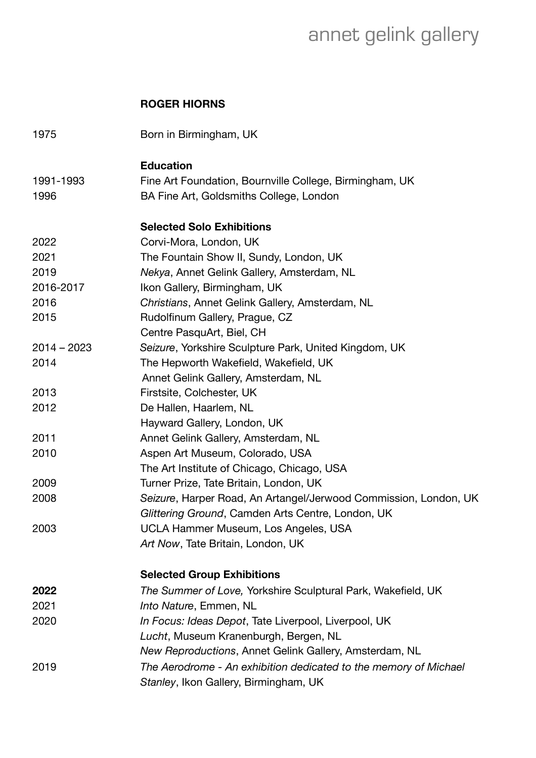## annet gelink gallery

## **ROGER HIORNS**

| 1975          | Born in Birmingham, UK                                           |
|---------------|------------------------------------------------------------------|
|               | <b>Education</b>                                                 |
| 1991-1993     | Fine Art Foundation, Bournville College, Birmingham, UK          |
| 1996          | BA Fine Art, Goldsmiths College, London                          |
|               | <b>Selected Solo Exhibitions</b>                                 |
| 2022          | Corvi-Mora, London, UK                                           |
| 2021          | The Fountain Show II, Sundy, London, UK                          |
| 2019          | Nekya, Annet Gelink Gallery, Amsterdam, NL                       |
| 2016-2017     | Ikon Gallery, Birmingham, UK                                     |
| 2016          | Christians, Annet Gelink Gallery, Amsterdam, NL                  |
| 2015          | Rudolfinum Gallery, Prague, CZ                                   |
|               | Centre PasquArt, Biel, CH                                        |
| $2014 - 2023$ | Seizure, Yorkshire Sculpture Park, United Kingdom, UK            |
| 2014          | The Hepworth Wakefield, Wakefield, UK                            |
|               | Annet Gelink Gallery, Amsterdam, NL                              |
| 2013          | Firstsite, Colchester, UK                                        |
| 2012          | De Hallen, Haarlem, NL                                           |
|               | Hayward Gallery, London, UK                                      |
| 2011          | Annet Gelink Gallery, Amsterdam, NL                              |
| 2010          | Aspen Art Museum, Colorado, USA                                  |
|               | The Art Institute of Chicago, Chicago, USA                       |
| 2009          | Turner Prize, Tate Britain, London, UK                           |
| 2008          | Seizure, Harper Road, An Artangel/Jerwood Commission, London, UK |
|               | Glittering Ground, Camden Arts Centre, London, UK                |
| 2003          | UCLA Hammer Museum, Los Angeles, USA                             |
|               | Art Now, Tate Britain, London, UK                                |
|               | <b>Selected Group Exhibitions</b>                                |
| 2022          | The Summer of Love, Yorkshire Sculptural Park, Wakefield, UK     |
| 2021          | Into Nature, Emmen, NL                                           |
| 2020          | In Focus: Ideas Depot, Tate Liverpool, Liverpool, UK             |
|               | Lucht, Museum Kranenburgh, Bergen, NL                            |
|               | New Reproductions, Annet Gelink Gallery, Amsterdam, NL           |
| 2019          | The Aerodrome - An exhibition dedicated to the memory of Michael |
|               | Stanley, Ikon Gallery, Birmingham, UK                            |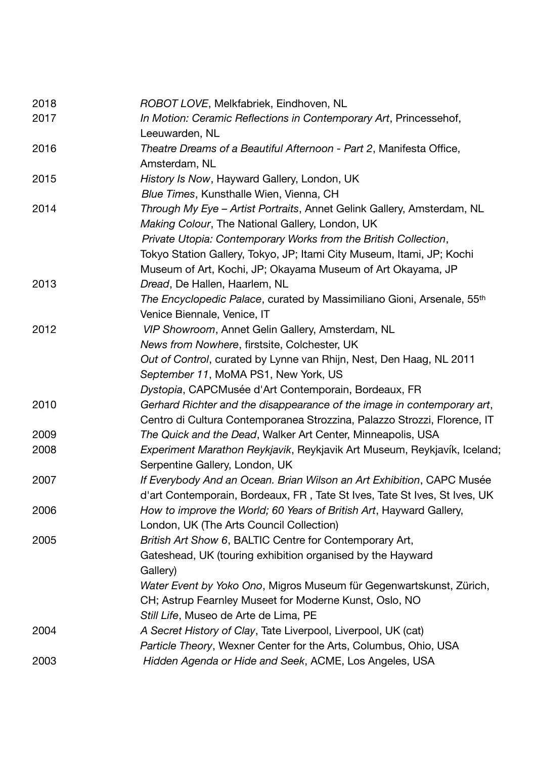| ROBOT LOVE, Melkfabriek, Eindhoven, NL                                             |
|------------------------------------------------------------------------------------|
| In Motion: Ceramic Reflections in Contemporary Art, Princessehof,                  |
| Leeuwarden, NL                                                                     |
| Theatre Dreams of a Beautiful Afternoon - Part 2, Manifesta Office,                |
| Amsterdam, NL                                                                      |
| History Is Now, Hayward Gallery, London, UK                                        |
| Blue Times, Kunsthalle Wien, Vienna, CH                                            |
| Through My Eye - Artist Portraits, Annet Gelink Gallery, Amsterdam, NL             |
| Making Colour, The National Gallery, London, UK                                    |
| Private Utopia: Contemporary Works from the British Collection,                    |
| Tokyo Station Gallery, Tokyo, JP; Itami City Museum, Itami, JP; Kochi              |
| Museum of Art, Kochi, JP; Okayama Museum of Art Okayama, JP                        |
| Dread, De Hallen, Haarlem, NL                                                      |
| The Encyclopedic Palace, curated by Massimiliano Gioni, Arsenale, 55 <sup>th</sup> |
| Venice Biennale, Venice, IT                                                        |
| VIP Showroom, Annet Gelin Gallery, Amsterdam, NL                                   |
| News from Nowhere, firstsite, Colchester, UK                                       |
| Out of Control, curated by Lynne van Rhijn, Nest, Den Haag, NL 2011                |
| September 11, MoMA PS1, New York, US                                               |
| Dystopia, CAPCMusée d'Art Contemporain, Bordeaux, FR                               |
| Gerhard Richter and the disappearance of the image in contemporary art,            |
| Centro di Cultura Contemporanea Strozzina, Palazzo Strozzi, Florence, IT           |
| The Quick and the Dead, Walker Art Center, Minneapolis, USA                        |
| Experiment Marathon Reykjavik, Reykjavik Art Museum, Reykjavík, Iceland;           |
| Serpentine Gallery, London, UK                                                     |
| If Everybody And an Ocean. Brian Wilson an Art Exhibition, CAPC Musée              |
| d'art Contemporain, Bordeaux, FR, Tate St Ives, Tate St Ives, St Ives, UK          |
| How to improve the World; 60 Years of British Art, Hayward Gallery,                |
| London, UK (The Arts Council Collection)                                           |
| British Art Show 6, BALTIC Centre for Contemporary Art,                            |
| Gateshead, UK (touring exhibition organised by the Hayward                         |
| Gallery)                                                                           |
| Water Event by Yoko Ono, Migros Museum für Gegenwartskunst, Zürich,                |
| CH; Astrup Fearnley Museet for Moderne Kunst, Oslo, NO                             |
| Still Life, Museo de Arte de Lima, PE                                              |
| A Secret History of Clay, Tate Liverpool, Liverpool, UK (cat)                      |
| Particle Theory, Wexner Center for the Arts, Columbus, Ohio, USA                   |
| Hidden Agenda or Hide and Seek, ACME, Los Angeles, USA                             |
|                                                                                    |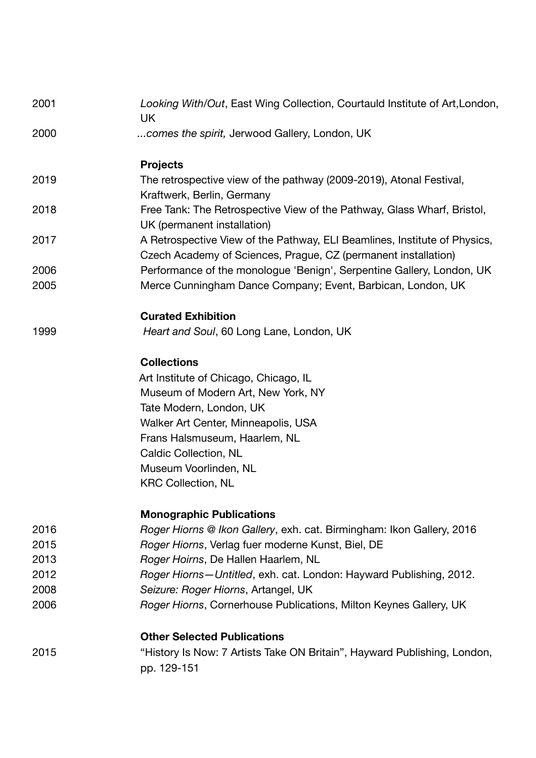| 2001 | Looking With/Out, East Wing Collection, Courtauld Institute of Art, London,<br>UK                                                           |
|------|---------------------------------------------------------------------------------------------------------------------------------------------|
| 2000 | comes the spirit, Jerwood Gallery, London, UK                                                                                               |
|      | <b>Projects</b>                                                                                                                             |
| 2019 | The retrospective view of the pathway (2009-2019), Atonal Festival,<br>Kraftwerk, Berlin, Germany                                           |
| 2018 | Free Tank: The Retrospective View of the Pathway, Glass Wharf, Bristol,<br>UK (permanent installation)                                      |
| 2017 | A Retrospective View of the Pathway, ELI Beamlines, Institute of Physics,<br>Czech Academy of Sciences, Prague, CZ (permanent installation) |
| 2006 | Performance of the monologue 'Benign', Serpentine Gallery, London, UK                                                                       |
| 2005 | Merce Cunningham Dance Company; Event, Barbican, London, UK                                                                                 |
|      | <b>Curated Exhibition</b>                                                                                                                   |
| 1999 | Heart and Soul, 60 Long Lane, London, UK                                                                                                    |
|      | <b>Collections</b>                                                                                                                          |
|      | Art Institute of Chicago, Chicago, IL                                                                                                       |
|      | Museum of Modern Art, New York, NY                                                                                                          |
|      | Tate Modern, London, UK                                                                                                                     |
|      | Walker Art Center, Minneapolis, USA                                                                                                         |
|      | Frans Halsmuseum, Haarlem, NL                                                                                                               |
|      | <b>Caldic Collection, NL</b>                                                                                                                |
|      | Museum Voorlinden, NL<br><b>KRC Collection, NL</b>                                                                                          |
|      |                                                                                                                                             |
|      | <b>Monographic Publications</b>                                                                                                             |
| 2016 | Roger Hiorns @ Ikon Gallery, exh. cat. Birmingham: Ikon Gallery, 2016                                                                       |
| 2015 | Roger Hiorns, Verlag fuer moderne Kunst, Biel, DE                                                                                           |
| 2013 | Roger Hoirns, De Hallen Haarlem, NL                                                                                                         |
| 2012 | Roger Hiorns-Untitled, exh. cat. London: Hayward Publishing, 2012.                                                                          |
| 2008 | Seizure: Roger Hiorns, Artangel, UK                                                                                                         |
| 2006 | Roger Hiorns, Cornerhouse Publications, Milton Keynes Gallery, UK                                                                           |
|      | <b>Other Selected Publications</b>                                                                                                          |
| 2015 | "History Is Now: 7 Artists Take ON Britain", Hayward Publishing, London,<br>pp. 129-151                                                     |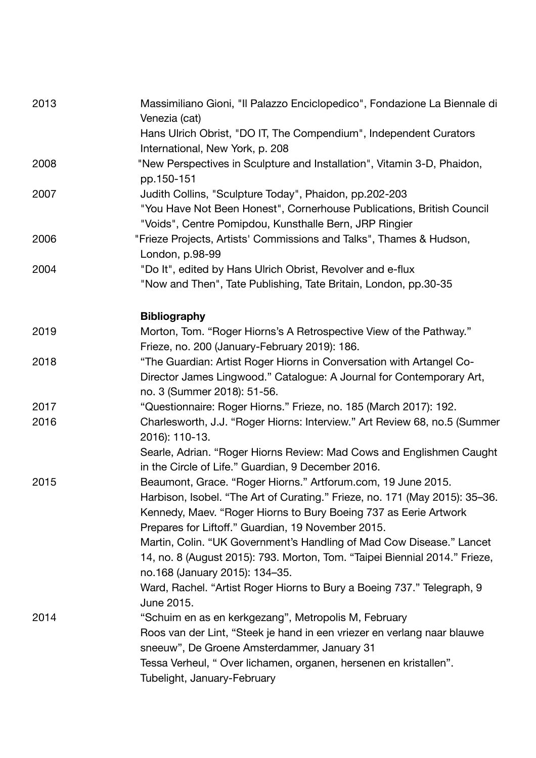| 2013 | Massimiliano Gioni, "Il Palazzo Enciclopedico", Fondazione La Biennale di<br>Venezia (cat)                                                                                                                                                                            |
|------|-----------------------------------------------------------------------------------------------------------------------------------------------------------------------------------------------------------------------------------------------------------------------|
|      | Hans Ulrich Obrist, "DO IT, The Compendium", Independent Curators<br>International, New York, p. 208                                                                                                                                                                  |
| 2008 | "New Perspectives in Sculpture and Installation", Vitamin 3-D, Phaidon,<br>pp.150-151                                                                                                                                                                                 |
| 2007 | Judith Collins, "Sculpture Today", Phaidon, pp.202-203<br>"You Have Not Been Honest", Cornerhouse Publications, British Council<br>"Voids", Centre Pomipdou, Kunsthalle Bern, JRP Ringier                                                                             |
| 2006 | "Frieze Projects, Artists' Commissions and Talks", Thames & Hudson,<br>London, p.98-99                                                                                                                                                                                |
| 2004 | "Do It", edited by Hans Ulrich Obrist, Revolver and e-flux<br>"Now and Then", Tate Publishing, Tate Britain, London, pp.30-35                                                                                                                                         |
|      | <b>Bibliography</b>                                                                                                                                                                                                                                                   |
| 2019 | Morton, Tom. "Roger Hiorns's A Retrospective View of the Pathway."<br>Frieze, no. 200 (January-February 2019): 186.                                                                                                                                                   |
| 2018 | "The Guardian: Artist Roger Hiorns in Conversation with Artangel Co-<br>Director James Lingwood." Catalogue: A Journal for Contemporary Art,<br>no. 3 (Summer 2018): 51-56.                                                                                           |
| 2017 | "Questionnaire: Roger Hiorns." Frieze, no. 185 (March 2017): 192.                                                                                                                                                                                                     |
| 2016 | Charlesworth, J.J. "Roger Hiorns: Interview." Art Review 68, no.5 (Summer<br>2016): 110-13.                                                                                                                                                                           |
|      | Searle, Adrian. "Roger Hiorns Review: Mad Cows and Englishmen Caught<br>in the Circle of Life." Guardian, 9 December 2016.                                                                                                                                            |
| 2015 | Beaumont, Grace. "Roger Hiorns." Artforum.com, 19 June 2015.<br>Harbison, Isobel. "The Art of Curating." Frieze, no. 171 (May 2015): 35-36.<br>Kennedy, Maev. "Roger Hiorns to Bury Boeing 737 as Eerie Artwork<br>Prepares for Liftoff." Guardian, 19 November 2015. |
|      | Martin, Colin. "UK Government's Handling of Mad Cow Disease." Lancet<br>14, no. 8 (August 2015): 793. Morton, Tom. "Taipei Biennial 2014." Frieze,<br>no.168 (January 2015): 134-35.                                                                                  |
|      | Ward, Rachel. "Artist Roger Hiorns to Bury a Boeing 737." Telegraph, 9<br>June 2015.                                                                                                                                                                                  |
| 2014 | "Schuim en as en kerkgezang", Metropolis M, February<br>Roos van der Lint, "Steek je hand in een vriezer en verlang naar blauwe<br>sneeuw", De Groene Amsterdammer, January 31<br>Tessa Verheul, "Over lichamen, organen, hersenen en kristallen".                    |
|      | Tubelight, January-February                                                                                                                                                                                                                                           |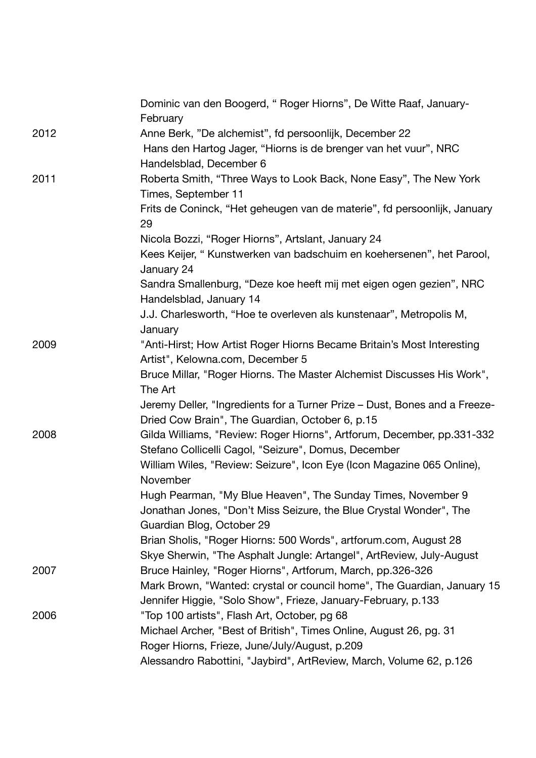|      | Dominic van den Boogerd, "Roger Hiorns", De Witte Raaf, January-<br>February                                                   |
|------|--------------------------------------------------------------------------------------------------------------------------------|
| 2012 | Anne Berk, "De alchemist", fd persoonlijk, December 22                                                                         |
|      | Hans den Hartog Jager, "Hiorns is de brenger van het vuur", NRC<br>Handelsblad, December 6                                     |
| 2011 | Roberta Smith, "Three Ways to Look Back, None Easy", The New York                                                              |
|      | Times, September 11                                                                                                            |
|      | Frits de Coninck, "Het geheugen van de materie", fd persoonlijk, January<br>29                                                 |
|      | Nicola Bozzi, "Roger Hiorns", Artslant, January 24                                                                             |
|      | Kees Keijer, "Kunstwerken van badschuim en koehersenen", het Parool,<br>January 24                                             |
|      | Sandra Smallenburg, "Deze koe heeft mij met eigen ogen gezien", NRC<br>Handelsblad, January 14                                 |
|      | J.J. Charlesworth, "Hoe te overleven als kunstenaar", Metropolis M,<br>January                                                 |
| 2009 | "Anti-Hirst; How Artist Roger Hiorns Became Britain's Most Interesting                                                         |
|      | Artist", Kelowna.com, December 5                                                                                               |
|      | Bruce Millar, "Roger Hiorns. The Master Alchemist Discusses His Work",<br>The Art                                              |
|      | Jeremy Deller, "Ingredients for a Turner Prize – Dust, Bones and a Freeze-                                                     |
|      | Dried Cow Brain", The Guardian, October 6, p.15                                                                                |
| 2008 | Gilda Williams, "Review: Roger Hiorns", Artforum, December, pp.331-332<br>Stefano Collicelli Cagol, "Seizure", Domus, December |
|      | William Wiles, "Review: Seizure", Icon Eye (Icon Magazine 065 Online),<br>November                                             |
|      | Hugh Pearman, "My Blue Heaven", The Sunday Times, November 9                                                                   |
|      | Jonathan Jones, "Don't Miss Seizure, the Blue Crystal Wonder", The<br>Guardian Blog, October 29                                |
|      | Brian Sholis, "Roger Hiorns: 500 Words", artforum.com, August 28                                                               |
|      | Skye Sherwin, "The Asphalt Jungle: Artangel", ArtReview, July-August                                                           |
| 2007 | Bruce Hainley, "Roger Hiorns", Artforum, March, pp.326-326                                                                     |
|      | Mark Brown, "Wanted: crystal or council home", The Guardian, January 15                                                        |
|      | Jennifer Higgie, "Solo Show", Frieze, January-February, p.133                                                                  |
| 2006 | "Top 100 artists", Flash Art, October, pg 68                                                                                   |
|      | Michael Archer, "Best of British", Times Online, August 26, pg. 31                                                             |
|      | Roger Hiorns, Frieze, June/July/August, p.209                                                                                  |
|      | Alessandro Rabottini, "Jaybird", ArtReview, March, Volume 62, p.126                                                            |
|      |                                                                                                                                |